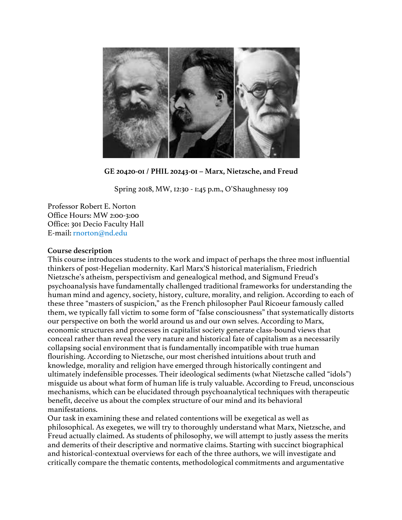

**GE 20420-01 / PHIL 20243-01 – Marx, Nietzsche, and Freud**

Spring 2018, MW, 12:30 - 1:45 p.m., O'Shaughnessy 109

Professor Robert E. Norton Office Hours: MW 2:00-3:00 Office: 301 Decio Faculty Hall E-mail: rnorton@nd.edu

### **Course description**

This course introduces students to the work and impact of perhaps the three most influential thinkers of post-Hegelian modernity. Karl Marx'S historical materialism, Friedrich Nietzsche's atheism, perspectivism and genealogical method, and Sigmund Freud's psychoanalysis have fundamentally challenged traditional frameworks for understanding the human mind and agency, society, history, culture, morality, and religion. According to each of these three "masters of suspicion," as the French philosopher Paul Ricoeur famously called them, we typically fall victim to some form of "false consciousness" that systematically distorts our perspective on both the world around us and our own selves. According to Marx, economic structures and processes in capitalist society generate class-bound views that conceal rather than reveal the very nature and historical fate of capitalism as a necessarily collapsing social environment that is fundamentally incompatible with true human flourishing. According to Nietzsche, our most cherished intuitions about truth and knowledge, morality and religion have emerged through historically contingent and ultimately indefensible processes. Their ideological sediments (what Nietzsche called "idols") misguide us about what form of human life is truly valuable. According to Freud, unconscious mechanisms, which can be elucidated through psychoanalytical techniques with therapeutic benefit, deceive us about the complex structure of our mind and its behavioral manifestations.

Our task in examining these and related contentions will be exegetical as well as philosophical. As exegetes, we will try to thoroughly understand what Marx, Nietzsche, and Freud actually claimed. As students of philosophy, we will attempt to justly assess the merits and demerits of their descriptive and normative claims. Starting with succinct biographical and historical-contextual overviews for each of the three authors, we will investigate and critically compare the thematic contents, methodological commitments and argumentative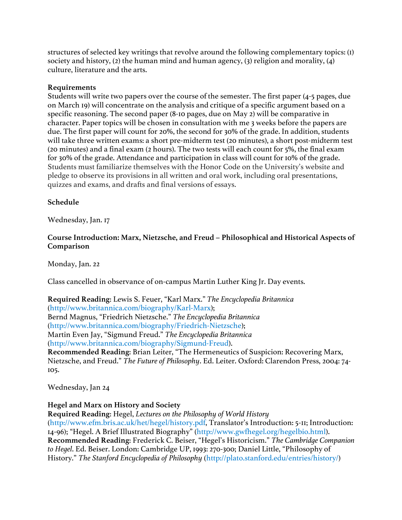structures of selected key writings that revolve around the following complementary topics: (1) society and history, (2) the human mind and human agency, (3) religion and morality, (4) culture, literature and the arts.

#### **Requirements**

Students will write two papers over the course of the semester. The first paper (4-5 pages, due on March 19) will concentrate on the analysis and critique of a specific argument based on a specific reasoning. The second paper (8-10 pages, due on May 2) will be comparative in character. Paper topics will be chosen in consultation with me 3 weeks before the papers are due. The first paper will count for 20%, the second for 30% of the grade. In addition, students will take three written exams: a short pre-midterm test (20 minutes), a short post-midterm test (20 minutes) and a final exam (2 hours). The two tests will each count for 5%, the final exam for 30% of the grade. Attendance and participation in class will count for 10% of the grade. Students must familiarize themselves with the Honor Code on the University's website and pledge to observe its provisions in all written and oral work, including oral presentations, quizzes and exams, and drafts and final versions of essays.

### **Schedule**

Wednesday, Jan. 17

# **Course Introduction: Marx, Nietzsche, and Freud – Philosophical and Historical Aspects of Comparison**

Monday, Jan. 22

Class cancelled in observance of on-campus Martin Luther King Jr. Day events.

**Required Reading**: Lewis S. Feuer, "Karl Marx." *The Encyclopedia Britannica*  (http://www.britannica.com/biography/Karl-Marx); Bernd Magnus, "Friedrich Nietzsche." *The Encyclopedia Britannica*  (http://www.britannica.com/biography/Friedrich-Nietzsche); Martin Even Jay, "Sigmund Freud." *The Encyclopedia Britannica*  (http://www.britannica.com/biography/Sigmund-Freud). **Recommended Reading**: Brian Leiter, "The Hermeneutics of Suspicion: Recovering Marx, Nietzsche, and Freud." *The Future of Philosophy*. Ed. Leiter. Oxford: Clarendon Press, 2004: 74- 105.

Wednesday, Jan 24

### **Hegel and Marx on History and Society**

**Required Reading**: Hegel, *Lectures on the Philosophy of World History*  (http://www.efm.bris.ac.uk/het/hegel/history.pdf, Translator's Introduction: 5-11; Introduction: 14-96); "Hegel. A Brief Illustrated Biography" (http://www.gwfhegel.org/hegelbio.html). **Recommended Reading**: Frederick C. Beiser, "Hegel's Historicism." *The Cambridge Companion to Hegel*. Ed. Beiser. London: Cambridge UP, 1993: 270-300; Daniel Little, "Philosophy of History." *The Stanford Encyclopedia of Philosophy* (http://plato.stanford.edu/entries/history/)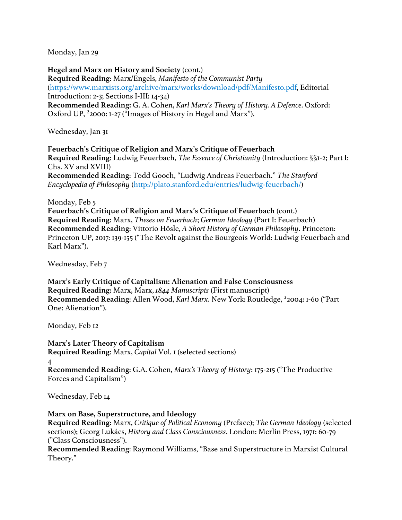Monday, Jan 29

**Hegel and Marx on History and Society** (cont.) **Required Reading**: Marx/Engels, *Manifesto of the Communist Party*  (https://www.marxists.org/archive/marx/works/download/pdf/Manifesto.pdf, Editorial Introduction: 2-3; Sections I-III: 14-34) **Recommended Reading:** G. A. Cohen, *Karl Marx's Theory of History. A Defence*. Oxford: Oxford UP, ²2000: 1-27 ("Images of History in Hegel and Marx").

Wednesday, Jan 31

**Feuerbach's Critique of Religion and Marx's Critique of Feuerbach Required Reading**: Ludwig Feuerbach, *The Essence of Christianity* (Introduction: §§1-2; Part I: Chs. XV and XVIII) **Recommended Reading**: Todd Gooch, "Ludwig Andreas Feuerbach." *The Stanford Encyclopedia of Philosophy* (http://plato.stanford.edu/entries/ludwig-feuerbach/)

Monday, Feb 5

**Feuerbach's Critique of Religion and Marx's Critique of Feuerbach** (cont.) **Required Reading**: Marx, *Theses on Feuerbach*; *German Ideology* (Part I: Feuerbach) **Recommended Reading**: Vittorio Hösle, *A Short History of German Philosophy*. Princeton: Princeton UP, 2017: 139-155 ("The Revolt against the Bourgeois World: Ludwig Feuerbach and Karl Marx").

Wednesday, Feb 7

**Marx's Early Critique of Capitalism: Alienation and False Consciousness Required Reading**: Marx, Marx, *1844 Manuscripts* (First manuscript) **Recommended Reading**: Allen Wood, *Karl Marx*. New York: Routledge, ²2004: 1-60 ("Part One: Alienation").

Monday, Feb 12

**Marx's Later Theory of Capitalism Required Reading**: Marx, *Capital* Vol. 1 (selected sections) 4 **Recommended Reading**: G.A. Cohen, *Marx's Theory of History*: 175-215 ("The Productive Forces and Capitalism")

Wednesday, Feb 14

### **Marx on Base, Superstructure, and Ideology**

**Required Reading**: Marx, *Critique of Political Economy* (Preface); *The German Ideology* (selected sections); Georg Lukács, *History and Class Consciousness*. London: Merlin Press, 1971: 60-79 ("Class Consciousness").

**Recommended Reading**: Raymond Williams, "Base and Superstructure in Marxist Cultural Theory."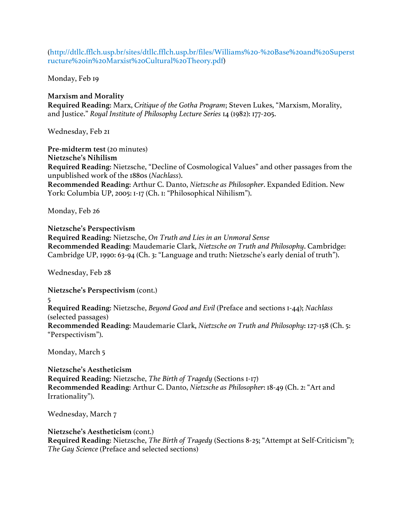(http://dtllc.fflch.usp.br/sites/dtllc.fflch.usp.br/files/Williams%20-%20Base%20and%20Superst ructure%20in%20Marxist%20Cultural%20Theory.pdf)

Monday, Feb 19

**Marxism and Morality Required Reading**: Marx, *Critique of the Gotha Program*; Steven Lukes, "Marxism, Morality, and Justice." *Royal Institute of Philosophy Lecture Series* 14 (1982): 177-205.

Wednesday, Feb 21

**Pre-midterm test** (20 minutes) **Nietzsche's Nihilism Required Reading**: Nietzsche, "Decline of Cosmological Values" and other passages from the unpublished work of the 1880s (*Nachlass*). **Recommended Reading**: Arthur C. Danto, *Nietzsche as Philosopher*. Expanded Edition. New York: Columbia UP, 2005: 1-17 (Ch. 1: "Philosophical Nihilism").

Monday, Feb 26

**Nietzsche's Perspectivism Required Reading**: Nietzsche, *On Truth and Lies in an Unmoral Sense* **Recommended Reading**: Maudemarie Clark, *Nietzsche on Truth and Philosophy*. Cambridge: Cambridge UP, 1990: 63-94 (Ch. 3: "Language and truth: Nietzsche's early denial of truth").

Wednesday, Feb 28

**Nietzsche's Perspectivism** (cont.) 5 **Required Reading**: Nietzsche, *Beyond Good and Evil* (Preface and sections 1-44); *Nachlass*  (selected passages) **Recommended Reading**: Maudemarie Clark, *Nietzsche on Truth and Philosophy*: 127-158 (Ch. 5: "Perspectivism").

Monday, March 5

**Nietzsche's Aestheticism Required Reading**: Nietzsche, *The Birth of Tragedy* (Sections 1-17) **Recommended Reading**: Arthur C. Danto, *Nietzsche as Philosopher*: 18-49 (Ch. 2: "Art and Irrationality").

Wednesday, March 7

**Nietzsche's Aestheticism** (cont.) **Required Reading**: Nietzsche, *The Birth of Tragedy* (Sections 8-25; "Attempt at Self-Criticism"); *The Gay Science* (Preface and selected sections)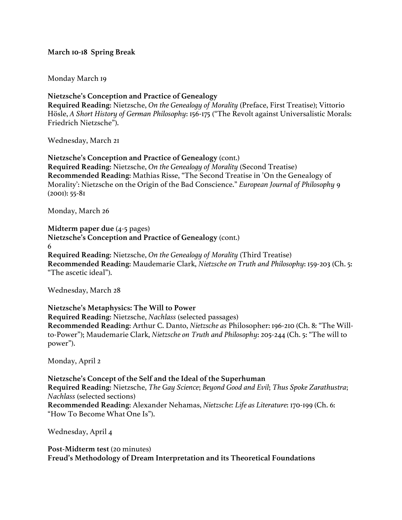# **March 10-18 Spring Break**

### Monday March 19

**Nietzsche's Conception and Practice of Genealogy Required Reading**: Nietzsche, *On the Genealogy of Morality* (Preface, First Treatise); Vittorio Hösle, *A Short History of German Philosophy*: 156-175 ("The Revolt against Universalistic Morals: Friedrich Nietzsche").

Wednesday, March 21

**Nietzsche's Conception and Practice of Genealogy** (cont.) **Required Reading**: Nietzsche, *On the Genealogy of Morality* (Second Treatise) **Recommended Reading**: Mathias Risse, "The Second Treatise in 'On the Genealogy of Morality': Nietzsche on the Origin of the Bad Conscience." *European Journal of Philosophy* 9 (2001): 55-81

Monday, March 26

**Midterm paper due** (4-5 pages) **Nietzsche's Conception and Practice of Genealogy** (cont.) 6 **Required Reading**: Nietzsche, *On the Genealogy of Morality* (Third Treatise) **Recommended Reading**: Maudemarie Clark, *Nietzsche on Truth and Philosophy*: 159-203 (Ch. 5: "The ascetic ideal").

Wednesday, March 28

**Nietzsche's Metaphysics: The Will to Power Required Reading**: Nietzsche, *Nachlass* (selected passages) **Recommended Reading**: Arthur C. Danto, *Nietzsche as* Philosopher: 196-210 (Ch. 8: "The Willto-Power"); Maudemarie Clark, *Nietzsche on Truth and Philosophy*: 205-244 (Ch. 5: "The will to power").

Monday, April 2

**Nietzsche's Concept of the Self and the Ideal of the Superhuman Required Reading**: Nietzsche, *The Gay Science*; *Beyond Good and Evil*; *Thus Spoke Zarathustra*; *Nachlass* (selected sections) **Recommended Reading**: Alexander Nehamas, *Nietzsche: Life as Literature*: 170-199 (Ch. 6: "How To Become What One Is").

Wednesday, April 4

**Post-Midterm test** (20 minutes) **Freud's Methodology of Dream Interpretation and its Theoretical Foundations**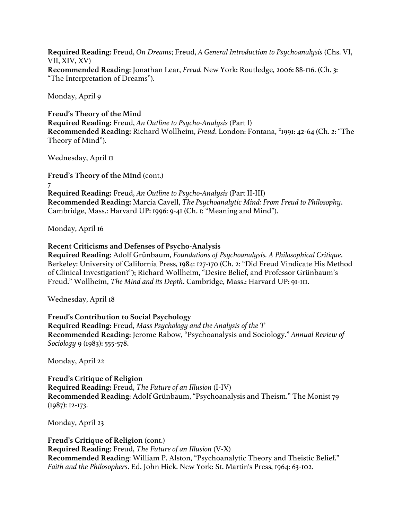**Required Reading**: Freud, *On Dreams*; Freud, *A General Introduction to Psychoanalysis* (Chs. VI, VII, XIV, XV) **Recommended Reading**: Jonathan Lear, *Freud.* New York: Routledge, 2006: 88-116. (Ch. 3: "The Interpretation of Dreams").

Monday, April 9

**Freud's Theory of the Mind Required Reading:** Freud, *An Outline to Psycho-Analysis* (Part I) **Recommended Reading:** Richard Wollheim, *Freud*. London: Fontana, ²1991: 42-64 (Ch. 2: "The Theory of Mind").

Wednesday, April 11

**Freud's Theory of the Mind** (cont.) 7 **Required Reading:** Freud, *An Outline to Psycho-Analysis* (Part II-III) **Recommended Reading:** Marcia Cavell, *The Psychoanalytic Mind: From Freud to Philosophy*. Cambridge, Mass.: Harvard UP: 1996: 9-41 (Ch. 1: "Meaning and Mind").

Monday, April 16

**Recent Criticisms and Defenses of Psycho-Analysis**

**Required Reading**: Adolf Grünbaum, *Foundations of Psychoanalysis. A Philosophical Critique*. Berkeley: University of California Press, 1984: 127-170 (Ch. 2: "Did Freud Vindicate His Method of Clinical Investigation?"); Richard Wollheim, "Desire Belief, and Professor Grünbaum's Freud." Wollheim, *The Mind and its Depth*. Cambridge, Mass.: Harvard UP: 91-111.

Wednesday, April 18

**Freud's Contribution to Social Psychology Required Reading**: Freud, *Mass Psychology and the Analysis of the 'I'* **Recommended Reading**: Jerome Rabow, "Psychoanalysis and Sociology." *Annual Review of Sociology* 9 (1983): 555-578.

Monday, April 22

**Freud's Critique of Religion Required Reading**: Freud, *The Future of an Illusion* (I-IV) **Recommended Reading**: Adolf Grünbaum, "Psychoanalysis and Theism." The Monist 79 (1987): 12-173.

Monday, April 23

**Freud's Critique of Religion** (cont.) **Required Reading**: Freud, *The Future of an Illusion* (V-X) **Recommended Reading**: William P. Alston, "Psychoanalytic Theory and Theistic Belief." *Faith and the Philosophers*. Ed. John Hick. New York: St. Martin's Press, 1964: 63-102.